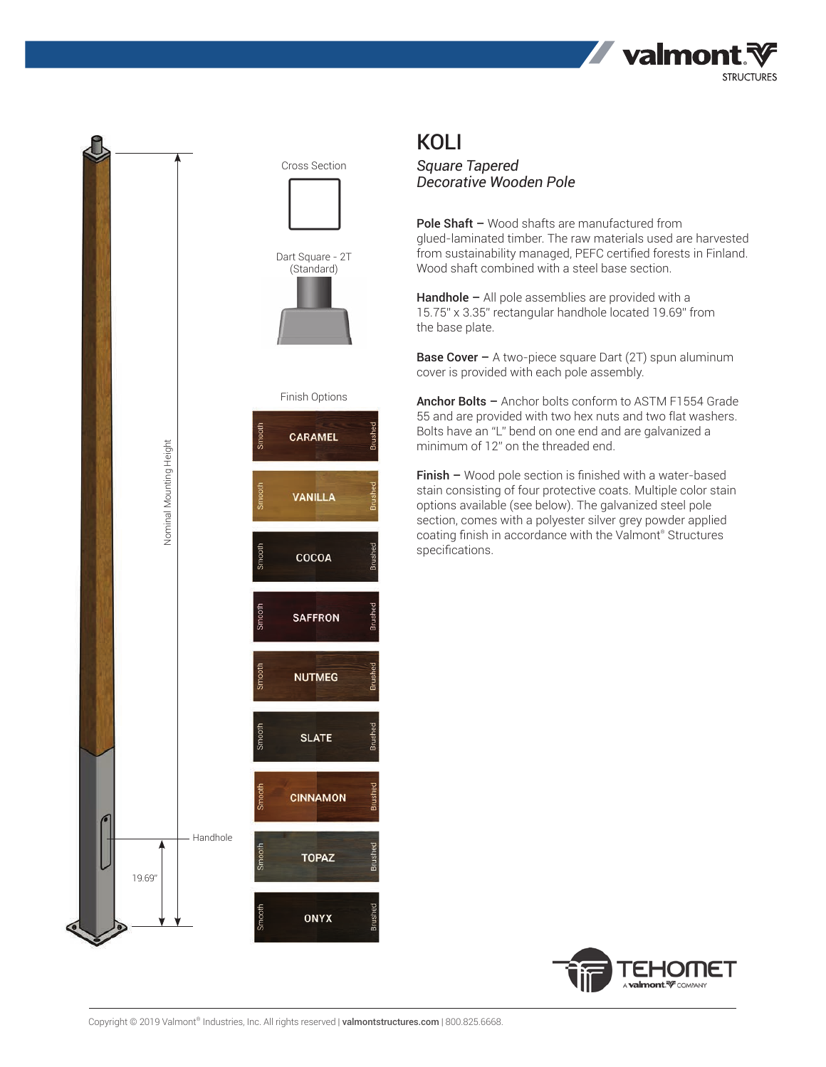



## KOLI

*Square Tapered Decorative Wooden Pole*

Pole Shaft - Wood shafts are manufactured from glued-laminated timber. The raw materials used are harvested from sustainability managed, PEFC certified forests in Finland. Wood shaft combined with a steel base section.

Handhole – All pole assemblies are provided with a 15.75" x 3.35" rectangular handhole located 19.69" from the base plate.

**Base Cover –** A two-piece square Dart (2T) spun aluminum cover is provided with each pole assembly.

Anchor Bolts - Anchor bolts conform to ASTM F1554 Grade 55 and are provided with two hex nuts and two flat washers. Bolts have an "L" bend on one end and are galvanized a minimum of 12" on the threaded end.

Finish – Wood pole section is finished with a water-based stain consisting of four protective coats. Multiple color stain options available (see below). The galvanized steel pole section, comes with a polyester silver grey powder applied coating finish in accordance with the Valmont® Structures specifications.